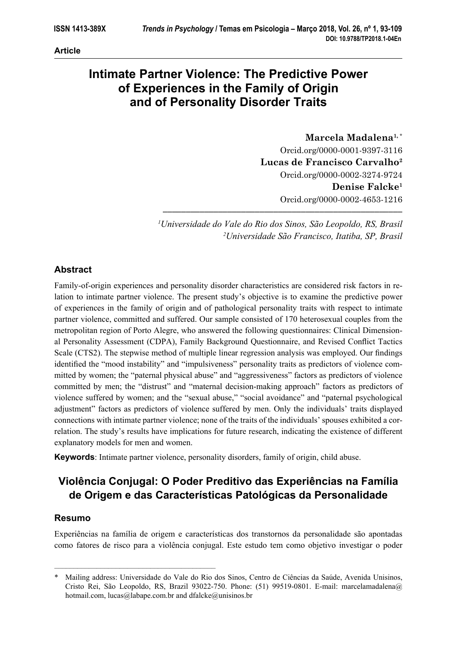# **Intimate Partner Violence: The Predictive Power of Experiences in the Family of Origin and of Personality Disorder Traits**

**Marcela Madalena1,** \* Orcid.org/0000-0001-9397-3116 **Lucas de Francisco Carvalho2** Orcid.org/0000-0002-3274-9724 **Denise Falcke1** Orcid.org/0000-0002-4653-1216

*1 Universidade do Vale do Rio dos Sinos, São Leopoldo, RS, Brasil 2 Universidade São Francisco, Itatiba, SP, Brasil*

**––––––––––––––––––––––––––––––––––––––––––––––––––––**

# **Abstract**

Family-of-origin experiences and personality disorder characteristics are considered risk factors in relation to intimate partner violence. The present study's objective is to examine the predictive power of experiences in the family of origin and of pathological personality traits with respect to intimate partner violence, committed and suffered. Our sample consisted of 170 heterosexual couples from the metropolitan region of Porto Alegre, who answered the following questionnaires: Clinical Dimensional Personality Assessment (CDPA), Family Background Questionnaire, and Revised Conflict Tactics Scale (CTS2). The stepwise method of multiple linear regression analysis was employed. Our findings identified the "mood instability" and "impulsiveness" personality traits as predictors of violence committed by women; the "paternal physical abuse" and "aggressiveness" factors as predictors of violence committed by men; the "distrust" and "maternal decision-making approach" factors as predictors of violence suffered by women; and the "sexual abuse," "social avoidance" and "paternal psychological adjustment" factors as predictors of violence suffered by men. Only the individuals' traits displayed connections with intimate partner violence; none of the traits of the individuals' spouses exhibited a correlation. The study's results have implications for future research, indicating the existence of different explanatory models for men and women.

**Keywords**: Intimate partner violence, personality disorders, family of origin, child abuse.

# **Violência Conjugal: O Poder Preditivo das Experiências na Família de Origem e das Características Patológicas da Personalidade**

# **Resumo**

––––––––––––––––––––––––––––––––––––––––––

Experiências na família de origem e características dos transtornos da personalidade são apontadas como fatores de risco para a violência conjugal. Este estudo tem como objetivo investigar o poder

<sup>\*</sup> Mailing address: Universidade do Vale do Rio dos Sinos, Centro de Ciências da Saúde, Avenida Unisinos, Cristo Rei, São Leopoldo, RS, Brazil 93022-750. Phone: (51) 99519-0801. E-mail: marcelamadalena@ hotmail.com, lucas@labape.com.br and dfalcke@unisinos.br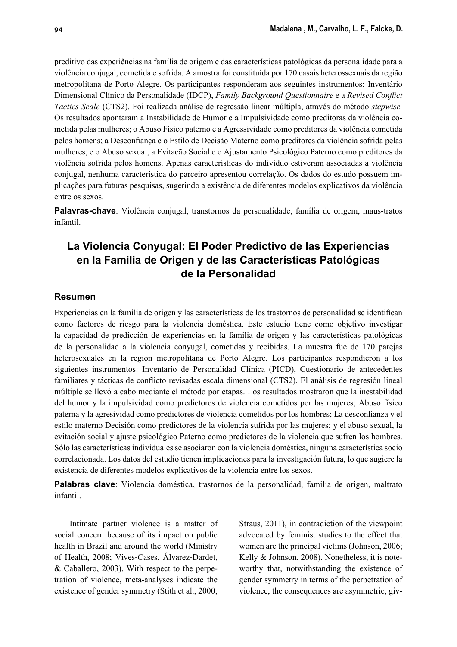preditivo das experiências na família de origem e das características patológicas da personalidade para a violência conjugal, cometida e sofrida. A amostra foi constituída por 170 casais heterossexuais da região metropolitana de Porto Alegre. Os participantes responderam aos seguintes instrumentos: Inventário Dimensional Clínico da Personalidade (IDCP), *Family Background Questionnaire* e a *Revised Conflict Tactics Scale* (CTS2). Foi realizada análise de regressão linear múltipla, através do método *stepwise.*  Os resultados apontaram a Instabilidade de Humor e a Impulsividade como preditoras da violência cometida pelas mulheres; o Abuso Físico paterno e a Agressividade como preditores da violência cometida pelos homens; a Desconfiança e o Estilo de Decisão Materno como preditores da violência sofrida pelas mulheres; e o Abuso sexual, a Evitação Social e o Ajustamento Psicológico Paterno como preditores da violência sofrida pelos homens. Apenas características do indivíduo estiveram associadas à violência conjugal, nenhuma característica do parceiro apresentou correlação. Os dados do estudo possuem implicações para futuras pesquisas, sugerindo a existência de diferentes modelos explicativos da violência entre os sexos.

**Palavras-chave**: Violência conjugal, transtornos da personalidade, família de origem, maus-tratos infantil.

# **La Violencia Conyugal: El Poder Predictivo de las Experiencias en la Familia de Origen y de las Características Patológicas de la Personalidad**

#### **Resumen**

Experiencias en la familia de origen y las características de los trastornos de personalidad se identifican como factores de riesgo para la violencia doméstica. Este estudio tiene como objetivo investigar la capacidad de predicción de experiencias en la familia de origen y las características patológicas de la personalidad a la violencia conyugal, cometidas y recibidas. La muestra fue de 170 parejas heterosexuales en la región metropolitana de Porto Alegre. Los participantes respondieron a los siguientes instrumentos: Inventario de Personalidad Clínica (PICD), Cuestionario de antecedentes familiares y tácticas de conflicto revisadas escala dimensional (CTS2). El análisis de regresión lineal múltiple se llevó a cabo mediante el método por etapas. Los resultados mostraron que la inestabilidad del humor y la impulsividad como predictores de violencia cometidos por las mujeres; Abuso físico paterna y la agresividad como predictores de violencia cometidos por los hombres; La desconfianza y el estilo materno Decisión como predictores de la violencia sufrida por las mujeres; y el abuso sexual, la evitación social y ajuste psicológico Paterno como predictores de la violencia que sufren los hombres. Sólo las características individuales se asociaron con la violencia doméstica, ninguna característica socio correlacionada. Los datos del estudio tienen implicaciones para la investigación futura, lo que sugiere la existencia de diferentes modelos explicativos de la violencia entre los sexos.

**Palabras clave**: Violencia doméstica, trastornos de la personalidad, familia de origen, maltrato infantil.

Intimate partner violence is a matter of social concern because of its impact on public health in Brazil and around the world (Ministry of Health, 2008; Vives-Cases, Álvarez-Dardet, & Caballero, 2003). With respect to the perpetration of violence, meta-analyses indicate the existence of gender symmetry (Stith et al., 2000; Straus, 2011), in contradiction of the viewpoint advocated by feminist studies to the effect that women are the principal victims (Johnson, 2006; Kelly & Johnson, 2008). Nonetheless, it is noteworthy that, notwithstanding the existence of gender symmetry in terms of the perpetration of violence, the consequences are asymmetric, giv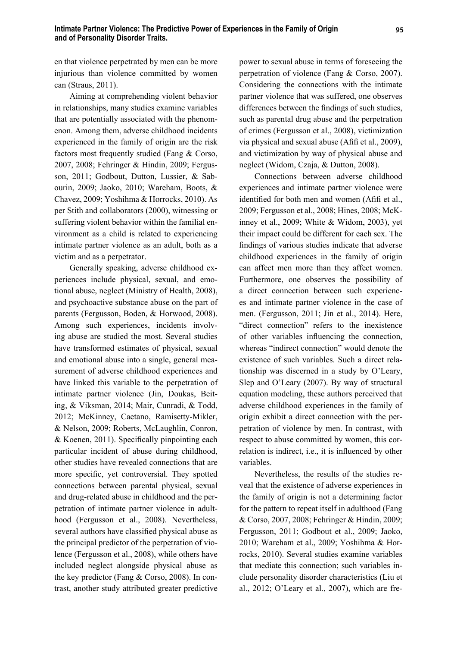en that violence perpetrated by men can be more injurious than violence committed by women can (Straus, 2011).

Aiming at comprehending violent behavior in relationships, many studies examine variables that are potentially associated with the phenomenon. Among them, adverse childhood incidents experienced in the family of origin are the risk factors most frequently studied (Fang & Corso, 2007, 2008; Fehringer & Hindin, 2009; Fergusson, 2011; Godbout, Dutton, Lussier, & Sabourin, 2009; Jaoko, 2010; Wareham, Boots, & Chavez, 2009; Yoshihma & Horrocks, 2010). As per Stith and collaborators (2000), witnessing or suffering violent behavior within the familial environment as a child is related to experiencing intimate partner violence as an adult, both as a victim and as a perpetrator.

Generally speaking, adverse childhood experiences include physical, sexual, and emotional abuse, neglect (Ministry of Health, 2008), and psychoactive substance abuse on the part of parents (Fergusson, Boden, & Horwood, 2008). Among such experiences, incidents involving abuse are studied the most. Several studies have transformed estimates of physical, sexual and emotional abuse into a single, general measurement of adverse childhood experiences and have linked this variable to the perpetration of intimate partner violence (Jin, Doukas, Beiting, & Viksman, 2014; Mair, Cunradi, & Todd, 2012; McKinney, Caetano, Ramisetty-Mikler, & Nelson, 2009; Roberts, McLaughlin, Conron,  $& Koenen, 2011$ . Specifically pinpointing each particular incident of abuse during childhood, other studies have revealed connections that are more specific, yet controversial. They spotted connections between parental physical, sexual and drug-related abuse in childhood and the perpetration of intimate partner violence in adulthood (Fergusson et al., 2008). Nevertheless, several authors have classified physical abuse as the principal predictor of the perpetration of violence (Fergusson et al., 2008), while others have included neglect alongside physical abuse as the key predictor (Fang & Corso, 2008). In contrast, another study attributed greater predictive power to sexual abuse in terms of foreseeing the perpetration of violence (Fang & Corso, 2007). Considering the connections with the intimate partner violence that was suffered, one observes differences between the findings of such studies, such as parental drug abuse and the perpetration of crimes (Fergusson et al., 2008), victimization via physical and sexual abuse (Afifi et al., 2009), and victimization by way of physical abuse and neglect (Widom, Czaja, & Dutton, 2008).

Connections between adverse childhood experiences and intimate partner violence were identified for both men and women (Afifi et al., 2009; Fergusson et al., 2008; Hines, 2008; McKinney et al., 2009; White & Widom, 2003), yet their impact could be different for each sex. The findings of various studies indicate that adverse childhood experiences in the family of origin can affect men more than they affect women. Furthermore, one observes the possibility of a direct connection between such experiences and intimate partner violence in the case of men. (Fergusson, 2011; Jin et al., 2014). Here, "direct connection" refers to the inexistence of other variables influencing the connection, whereas "indirect connection" would denote the existence of such variables. Such a direct relationship was discerned in a study by O'Leary, Slep and O'Leary (2007). By way of structural equation modeling, these authors perceived that adverse childhood experiences in the family of origin exhibit a direct connection with the perpetration of violence by men. In contrast, with respect to abuse committed by women, this correlation is indirect, *i.e.*, it is influenced by other variables.

Nevertheless, the results of the studies reveal that the existence of adverse experiences in the family of origin is not a determining factor for the pattern to repeat itself in adulthood (Fang & Corso, 2007, 2008; Fehringer & Hindin, 2009; Fergusson, 2011; Godbout et al., 2009; Jaoko, 2010; Wareham et al., 2009; Yoshihma & Horrocks, 2010). Several studies examine variables that mediate this connection; such variables include personality disorder characteristics (Liu et al., 2012; O'Leary et al., 2007), which are fre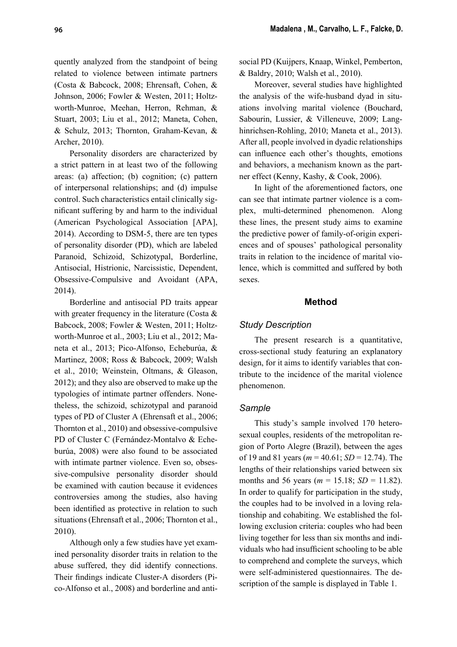quently analyzed from the standpoint of being related to violence between intimate partners (Costa & Babcock, 2008; Ehrensaft, Cohen, & Johnson, 2006; Fowler & Westen, 2011; Holtzworth-Munroe, Meehan, Herron, Rehman, & Stuart, 2003; Liu et al., 2012; Maneta, Cohen, & Schulz, 2013; Thornton, Graham-Kevan, & Archer, 2010).

Personality disorders are characterized by a strict pattern in at least two of the following areas: (a) affection; (b) cognition; (c) pattern of interpersonal relationships; and (d) impulse control. Such characteristics entail clinically significant suffering by and harm to the individual (American Psychological Association [APA], 2014). According to DSM-5, there are ten types of personality disorder (PD), which are labeled Paranoid, Schizoid, Schizotypal, Borderline, Antisocial, Histrionic, Narcissistic, Dependent, Obsessive-Compulsive and Avoidant (APA, 2014).

Borderline and antisocial PD traits appear with greater frequency in the literature (Costa & Babcock, 2008; Fowler & Westen, 2011; Holtzworth-Munroe et al., 2003; Liu et al., 2012; Maneta et al., 2013; Pico-Alfonso, Echeburúa, & Martinez, 2008; Ross & Babcock, 2009; Walsh et al., 2010; Weinstein, Oltmans, & Gleason, 2012); and they also are observed to make up the typologies of intimate partner offenders. Nonetheless, the schizoid, schizotypal and paranoid types of PD of Cluster A (Ehrensaft et al., 2006; Thornton et al., 2010) and obsessive-compulsive PD of Cluster C (Fernández-Montalvo & Echeburúa, 2008) were also found to be associated with intimate partner violence. Even so, obsessive-compulsive personality disorder should be examined with caution because it evidences controversies among the studies, also having been identified as protective in relation to such situations (Ehrensaft et al., 2006; Thornton et al., 2010).

Although only a few studies have yet examined personality disorder traits in relation to the abuse suffered, they did identify connections. Their findings indicate Cluster-A disorders (Pico-Alfonso et al., 2008) and borderline and antisocial PD (Kuijpers, Knaap, Winkel, Pemberton, & Baldry, 2010; Walsh et al., 2010).

Moreover, several studies have highlighted the analysis of the wife-husband dyad in situations involving marital violence (Bouchard, Sabourin, Lussier, & Villeneuve, 2009; Langhinrichsen-Rohling, 2010; Maneta et al., 2013). After all, people involved in dyadic relationships can influence each other's thoughts, emotions and behaviors, a mechanism known as the partner effect (Kenny, Kashy, & Cook, 2006).

In light of the aforementioned factors, one can see that intimate partner violence is a complex, multi-determined phenomenon. Along these lines, the present study aims to examine the predictive power of family-of-origin experiences and of spouses' pathological personality traits in relation to the incidence of marital violence, which is committed and suffered by both sexes.

## **Method**

# *Study Description*

The present research is a quantitative, cross-sectional study featuring an explanatory design, for it aims to identify variables that contribute to the incidence of the marital violence phenomenon.

# *Sample*

This study's sample involved 170 heterosexual couples, residents of the metropolitan region of Porto Alegre (Brazil), between the ages of 19 and 81 years (*m* = 40.61; *SD* = 12.74). The lengths of their relationships varied between six months and 56 years ( $m = 15.18$ ;  $SD = 11.82$ ). In order to qualify for participation in the study, the couples had to be involved in a loving relationship and cohabiting. We established the following exclusion criteria: couples who had been living together for less than six months and individuals who had insufficient schooling to be able to comprehend and complete the surveys, which were self-administered questionnaires. The description of the sample is displayed in Table 1.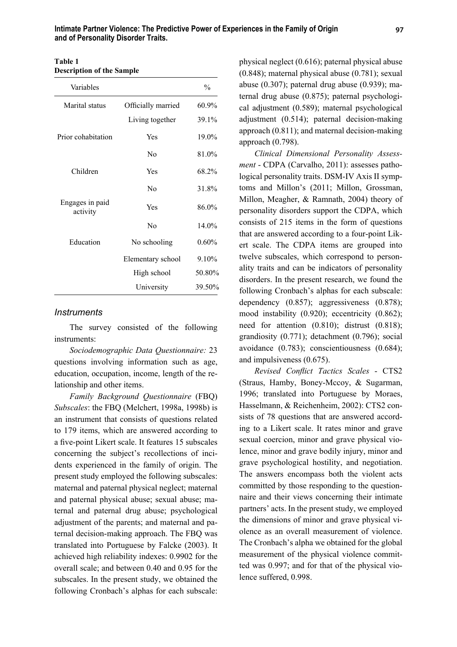| Table 1                          |  |
|----------------------------------|--|
| <b>Description of the Sample</b> |  |

| Variables                   |                    | $\frac{0}{0}$ |
|-----------------------------|--------------------|---------------|
| Marital status              | Officially married | $60.9\%$      |
|                             | Living together    | 39.1%         |
| Prior cohabitation          | Yes                | 19.0%         |
|                             | Nο                 | 81.0%         |
| Children                    | Yes                | 68.2%         |
|                             | N <sub>0</sub>     | 31.8%         |
| Engages in paid<br>activity | Yes                | 86.0%         |
|                             | No                 | 14.0%         |
| Education                   | No schooling       | 0.60%         |
|                             | Elementary school  | 9.10%         |
|                             | High school        | 50.80%        |
|                             | University         | 39.50%        |

#### *Instruments*

The survey consisted of the following instruments:

*Sociodemographic Data Questionnaire:* 23 questions involving information such as age, education, occupation, income, length of the relationship and other items.

*Family Background Questionnaire* (FBQ) *Subscales*: the FBQ (Melchert, 1998a, 1998b) is an instrument that consists of questions related to 179 items, which are answered according to a five-point Likert scale. It features 15 subscales concerning the subject's recollections of incidents experienced in the family of origin. The present study employed the following subscales: maternal and paternal physical neglect; maternal and paternal physical abuse; sexual abuse; maternal and paternal drug abuse; psychological adjustment of the parents; and maternal and paternal decision-making approach. The FBQ was translated into Portuguese by Falcke (2003). It achieved high reliability indexes: 0.9902 for the overall scale; and between 0.40 and 0.95 for the subscales. In the present study, we obtained the following Cronbach's alphas for each subscale:

physical neglect (0.616); paternal physical abuse (0.848); maternal physical abuse (0.781); sexual abuse (0.307); paternal drug abuse (0.939); maternal drug abuse (0.875); paternal psychological adjustment (0.589); maternal psychological adjustment (0.514); paternal decision-making approach (0.811); and maternal decision-making approach (0.798).

*Clinical Dimensional Personality Assessment* - CDPA (Carvalho, 2011): assesses pathological personality traits. DSM-IV Axis II symptoms and Millon's (2011; Millon, Grossman, Millon, Meagher, & Ramnath, 2004) theory of personality disorders support the CDPA, which consists of 215 items in the form of questions that are answered according to a four-point Likert scale. The CDPA items are grouped into twelve subscales, which correspond to personality traits and can be indicators of personality disorders. In the present research, we found the following Cronbach's alphas for each subscale: dependency (0.857); aggressiveness (0.878); mood instability (0.920); eccentricity (0.862); need for attention (0.810); distrust (0.818); grandiosity (0.771); detachment (0.796); social avoidance (0.783); conscientiousness (0.684); and impulsiveness (0.675).

*Revised Conflict Tactics Scales - CTS2* (Straus, Hamby, Boney-Mccoy, & Sugarman, 1996; translated into Portuguese by Moraes, Hasselmann, & Reichenheim, 2002): CTS2 consists of 78 questions that are answered according to a Likert scale. It rates minor and grave sexual coercion, minor and grave physical violence, minor and grave bodily injury, minor and grave psychological hostility, and negotiation. The answers encompass both the violent acts committed by those responding to the questionnaire and their views concerning their intimate partners' acts. In the present study, we employed the dimensions of minor and grave physical violence as an overall measurement of violence. The Cronbach's alpha we obtained for the global measurement of the physical violence committed was 0.997; and for that of the physical violence suffered, 0.998.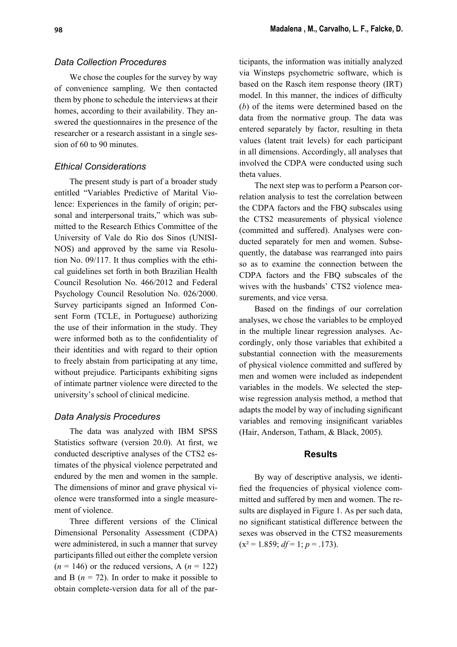# *Data Collection Procedures*

We chose the couples for the survey by way of convenience sampling. We then contacted them by phone to schedule the interviews at their homes, according to their availability. They answered the questionnaires in the presence of the researcher or a research assistant in a single session of 60 to 90 minutes.

# *Ethical Considerations*

The present study is part of a broader study entitled "Variables Predictive of Marital Violence: Experiences in the family of origin; personal and interpersonal traits," which was submitted to the Research Ethics Committee of the University of Vale do Rio dos Sinos (UNISI-NOS) and approved by the same via Resolution No. 09/117. It thus complies with the ethical guidelines set forth in both Brazilian Health Council Resolution No. 466/2012 and Federal Psychology Council Resolution No. 026/2000. Survey participants signed an Informed Consent Form (TCLE, in Portuguese) authorizing the use of their information in the study. They were informed both as to the confidentiality of their identities and with regard to their option to freely abstain from participating at any time, without prejudice. Participants exhibiting signs of intimate partner violence were directed to the university's school of clinical medicine.

# *Data Analysis Procedures*

The data was analyzed with IBM SPSS Statistics software (version  $20.0$ ). At first, we conducted descriptive analyses of the CTS2 estimates of the physical violence perpetrated and endured by the men and women in the sample. The dimensions of minor and grave physical violence were transformed into a single measurement of violence.

Three different versions of the Clinical Dimensional Personality Assessment (CDPA) were administered, in such a manner that survey participants filled out either the complete version  $(n = 146)$  or the reduced versions, A  $(n = 122)$ and B  $(n = 72)$ . In order to make it possible to obtain complete-version data for all of the participants, the information was initially analyzed via Winsteps psychometric software, which is based on the Rasch item response theory (IRT) model. In this manner, the indices of difficulty (*b*) of the items were determined based on the data from the normative group. The data was entered separately by factor, resulting in theta values (latent trait levels) for each participant in all dimensions. Accordingly, all analyses that involved the CDPA were conducted using such theta values.

The next step was to perform a Pearson correlation analysis to test the correlation between the CDPA factors and the FBQ subscales using the CTS2 measurements of physical violence (committed and suffered). Analyses were conducted separately for men and women. Subsequently, the database was rearranged into pairs so as to examine the connection between the CDPA factors and the FBQ subscales of the wives with the husbands' CTS2 violence measurements, and vice versa.

Based on the findings of our correlation analyses, we chose the variables to be employed in the multiple linear regression analyses. Accordingly, only those variables that exhibited a substantial connection with the measurements of physical violence committed and suffered by men and women were included as independent variables in the models. We selected the stepwise regression analysis method, a method that adapts the model by way of including significant variables and removing insignificant variables (Hair, Anderson, Tatham, & Black, 2005).

## **Results**

By way of descriptive analysis, we identified the frequencies of physical violence committed and suffered by men and women. The results are displayed in Figure 1. As per such data, no significant statistical difference between the sexes was observed in the CTS2 measurements  $(x^2 = 1.859; df = 1; p = .173)$ .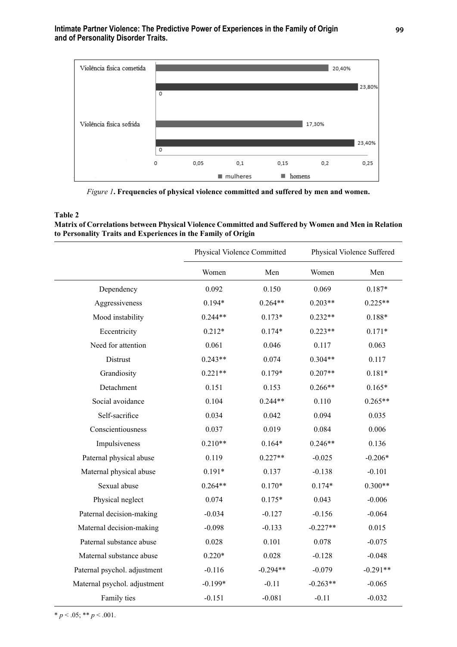

*Figure 1***. Frequencies of physical violence committed and suffered by men and women.**

#### **Table 2**

**Matrix of Correlations between Physical Violence Committed and Suffered by Women and Men in Relation to Personality Traits and Experiences in the Family of Origin**

|                              | Physical Violence Committed |            |            | Physical Violence Suffered |
|------------------------------|-----------------------------|------------|------------|----------------------------|
|                              | Women                       | Men        | Women      | Men                        |
| Dependency                   | 0.092                       | 0.150      | 0.069      | $0.187*$                   |
| Aggressiveness               | $0.194*$                    | $0.264**$  | $0.203**$  | $0.225**$                  |
| Mood instability             | $0.244**$                   | $0.173*$   | $0.232**$  | $0.188*$                   |
| Eccentricity                 | $0.212*$                    | $0.174*$   | $0.223**$  | $0.171*$                   |
| Need for attention           | 0.061                       | 0.046      | 0.117      | 0.063                      |
| Distrust                     | $0.243**$                   | 0.074      | $0.304**$  | 0.117                      |
| Grandiosity                  | $0.221**$                   | $0.179*$   | $0.207**$  | $0.181*$                   |
| Detachment                   | 0.151                       | 0.153      | $0.266**$  | $0.165*$                   |
| Social avoidance             | 0.104                       | $0.244**$  | 0.110      | $0.265**$                  |
| Self-sacrifice               | 0.034                       | 0.042      | 0.094      | 0.035                      |
| Conscientiousness            | 0.037                       | 0.019      | 0.084      | 0.006                      |
| Impulsiveness                | $0.210**$                   | $0.164*$   | $0.246**$  | 0.136                      |
| Paternal physical abuse      | 0.119                       | $0.227**$  | $-0.025$   | $-0.206*$                  |
| Maternal physical abuse      | $0.191*$                    | 0.137      | $-0.138$   | $-0.101$                   |
| Sexual abuse                 | $0.264**$                   | $0.170*$   | $0.174*$   | $0.300**$                  |
| Physical neglect             | 0.074                       | $0.175*$   | 0.043      | $-0.006$                   |
| Paternal decision-making     | $-0.034$                    | $-0.127$   | $-0.156$   | $-0.064$                   |
| Maternal decision-making     | $-0.098$                    | $-0.133$   | $-0.227**$ | 0.015                      |
| Paternal substance abuse     | 0.028                       | 0.101      | 0.078      | $-0.075$                   |
| Maternal substance abuse     | $0.220*$                    | 0.028      | $-0.128$   | $-0.048$                   |
| Paternal psychol. adjustment | $-0.116$                    | $-0.294**$ | $-0.079$   | $-0.291**$                 |
| Maternal psychol. adjustment | $-0.199*$                   | $-0.11$    | $-0.263**$ | $-0.065$                   |
| Family ties                  | $-0.151$                    | $-0.081$   | $-0.11$    | $-0.032$                   |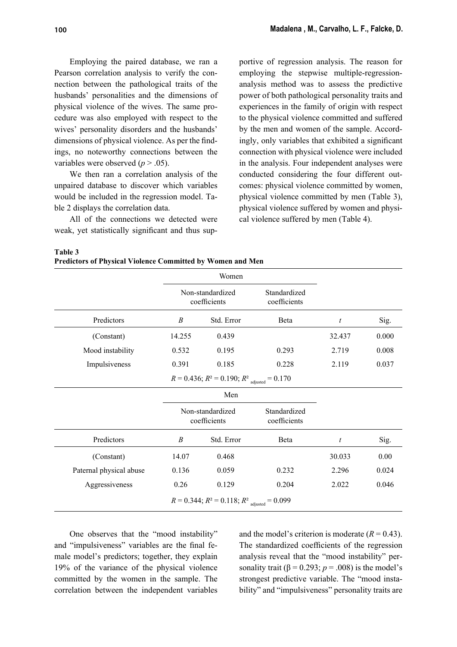Employing the paired database, we ran a Pearson correlation analysis to verify the connection between the pathological traits of the husbands' personalities and the dimensions of physical violence of the wives. The same procedure was also employed with respect to the wives' personality disorders and the husbands' dimensions of physical violence. As per the findings, no noteworthy connections between the variables were observed  $(p > .05)$ .

We then ran a correlation analysis of the unpaired database to discover which variables would be included in the regression model. Table 2 displays the correlation data.

All of the connections we detected were weak, yet statistically significant and thus supportive of regression analysis. The reason for employing the stepwise multiple-regressionanalysis method was to assess the predictive power of both pathological personality traits and experiences in the family of origin with respect to the physical violence committed and suffered by the men and women of the sample. Accordingly, only variables that exhibited a significant connection with physical violence were included in the analysis. Four independent analyses were conducted considering the four different outcomes: physical violence committed by women, physical violence committed by men (Table 3), physical violence suffered by women and physical violence suffered by men (Table 4).

**Table 3**

**Predictors of Physical Violence Committed by Women and Men**

|                                                                 |                                  | Women                                                           |                              |                  |       |  |
|-----------------------------------------------------------------|----------------------------------|-----------------------------------------------------------------|------------------------------|------------------|-------|--|
|                                                                 | Non-standardized<br>coefficients |                                                                 | Standardized<br>coefficients |                  |       |  |
| Predictors                                                      | B                                | Std. Error                                                      | Beta                         | $\boldsymbol{t}$ | Sig.  |  |
| (Constant)                                                      | 14.255                           | 0.439                                                           |                              | 32.437           | 0.000 |  |
| Mood instability                                                | 0.532                            | 0.195                                                           | 0.293                        | 2.719            | 0.008 |  |
| Impulsiveness                                                   | 0.391                            | 0.185                                                           | 0.228                        | 2.119            | 0.037 |  |
|                                                                 |                                  | $R = 0.436$ ; $R^2 = 0.190$ ; $R^2$ <sub>adjusted</sub> = 0.170 |                              |                  |       |  |
|                                                                 |                                  | Men                                                             |                              |                  |       |  |
|                                                                 | Non-standardized<br>coefficients |                                                                 | Standardized<br>coefficients |                  |       |  |
| Predictors                                                      | B                                | Std. Error                                                      | <b>B</b> eta                 | $\boldsymbol{t}$ | Sig.  |  |
| (Constant)                                                      | 14.07                            | 0.468                                                           |                              | 30.033           | 0.00  |  |
| Paternal physical abuse                                         | 0.136                            | 0.059                                                           | 0.232                        | 2.296            | 0.024 |  |
| Aggressiveness                                                  | 0.26                             | 0.129                                                           | 0.204                        | 2.022            | 0.046 |  |
| $R = 0.344$ ; $R^2 = 0.118$ ; $R^2$ <sub>adjusted</sub> = 0.099 |                                  |                                                                 |                              |                  |       |  |

One observes that the "mood instability" and "impulsiveness" variables are the final female model's predictors; together, they explain 19% of the variance of the physical violence committed by the women in the sample. The correlation between the independent variables and the model's criterion is moderate  $(R = 0.43)$ . The standardized coefficients of the regression analysis reveal that the "mood instability" personality trait ( $\beta$  = 0.293; *p* = .008) is the model's strongest predictive variable. The "mood instability" and "impulsiveness" personality traits are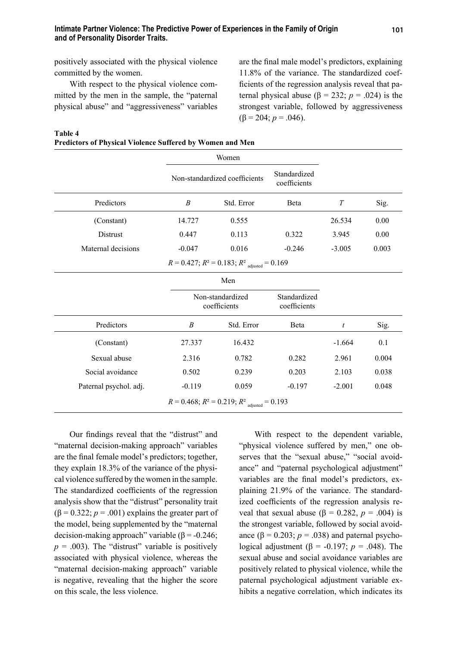positively associated with the physical violence committed by the women.

With respect to the physical violence committed by the men in the sample, the "paternal physical abuse" and "aggressiveness" variables are the final male model's predictors, explaining 11.8% of the variance. The standardized coefficients of the regression analysis reveal that paternal physical abuse ( $β = 232$ ;  $p = .024$ ) is the strongest variable, followed by aggressiveness ( $\beta$  = 204; *p* = .046).

| Table 4                                                          |  |  |  |
|------------------------------------------------------------------|--|--|--|
| <b>Predictors of Physical Violence Suffered by Women and Men</b> |  |  |  |

|                                                                 | Women                                                |                                  |                              |          |       |  |  |  |
|-----------------------------------------------------------------|------------------------------------------------------|----------------------------------|------------------------------|----------|-------|--|--|--|
|                                                                 | Non-standardized coefficients                        |                                  | Standardized<br>coefficients |          |       |  |  |  |
| Predictors                                                      | B                                                    | Std. Error                       | <b>B</b> eta                 | T        | Sig.  |  |  |  |
| (Constant)                                                      | 14.727                                               | 0.555                            |                              | 26.534   | 0.00  |  |  |  |
| Distrust                                                        | 0.447                                                | 0.113                            | 0.322                        | 3.945    | 0.00  |  |  |  |
| Maternal decisions                                              | $-0.047$                                             | 0.016                            | $-0.246$                     | $-3.005$ | 0.003 |  |  |  |
|                                                                 | $R = 0.427$ ; $R^2 = 0.183$ ; $R^2$ adjusted = 0.169 |                                  |                              |          |       |  |  |  |
| Men                                                             |                                                      |                                  |                              |          |       |  |  |  |
|                                                                 |                                                      | Non-standardized<br>coefficients |                              |          |       |  |  |  |
| Predictors                                                      | B                                                    | Std. Error                       | Beta                         | t        | Sig.  |  |  |  |
| (Constant)                                                      | 27.337                                               | 16.432                           |                              | $-1.664$ | 0.1   |  |  |  |
| Sexual abuse                                                    | 2.316                                                | 0.782                            | 0.282                        | 2.961    | 0.004 |  |  |  |
| Social avoidance                                                | 0.502                                                | 0.239                            | 0.203                        | 2.103    | 0.038 |  |  |  |
| Paternal psychol. adj.                                          | $-0.119$                                             | 0.059                            | $-0.197$                     | $-2.001$ | 0.048 |  |  |  |
| $R = 0.468$ ; $R^2 = 0.219$ ; $R^2$ <sub>adjusted</sub> = 0.193 |                                                      |                                  |                              |          |       |  |  |  |

Our findings reveal that the "distrust" and "maternal decision-making approach" variables are the final female model's predictors; together, they explain 18.3% of the variance of the physical violence suffered by the women in the sample. The standardized coefficients of the regression analysis show that the "distrust" personality trait  $(\beta = 0.322; p = .001)$  explains the greater part of the model, being supplemented by the "maternal decision-making approach" variable ( $\beta$  = -0.246;  $p = .003$ ). The "distrust" variable is positively associated with physical violence, whereas the "maternal decision-making approach" variable is negative, revealing that the higher the score on this scale, the less violence.

With respect to the dependent variable, "physical violence suffered by men," one observes that the "sexual abuse," "social avoidance" and "paternal psychological adjustment" variables are the final model's predictors, explaining 21.9% of the variance. The standardized coefficients of the regression analysis reveal that sexual abuse ( $β = 0.282$ ,  $p = .004$ ) is the strongest variable, followed by social avoidance  $(\beta = 0.203; p = .038)$  and paternal psychological adjustment ( $\beta$  = -0.197; *p* = .048). The sexual abuse and social avoidance variables are positively related to physical violence, while the paternal psychological adjustment variable exhibits a negative correlation, which indicates its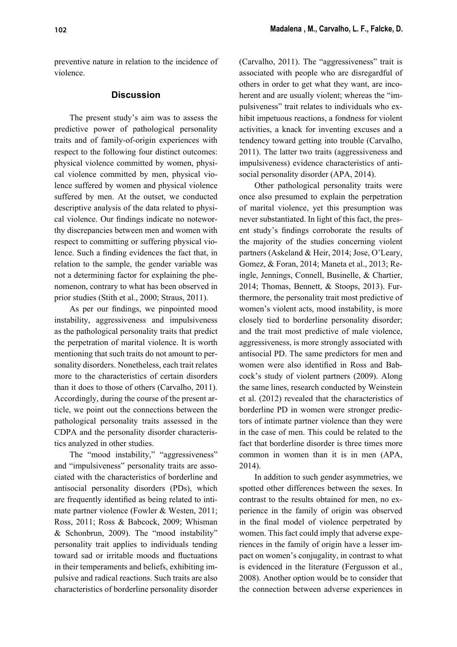preventive nature in relation to the incidence of violence.

# **Discussion**

The present study's aim was to assess the predictive power of pathological personality traits and of family-of-origin experiences with respect to the following four distinct outcomes: physical violence committed by women, physical violence committed by men, physical violence suffered by women and physical violence suffered by men. At the outset, we conducted descriptive analysis of the data related to physical violence. Our findings indicate no noteworthy discrepancies between men and women with respect to committing or suffering physical violence. Such a finding evidences the fact that, in relation to the sample, the gender variable was not a determining factor for explaining the phenomenon, contrary to what has been observed in prior studies (Stith et al., 2000; Straus, 2011).

As per our findings, we pinpointed mood instability, aggressiveness and impulsiveness as the pathological personality traits that predict the perpetration of marital violence. It is worth mentioning that such traits do not amount to personality disorders. Nonetheless, each trait relates more to the characteristics of certain disorders than it does to those of others (Carvalho, 2011). Accordingly, during the course of the present article, we point out the connections between the pathological personality traits assessed in the CDPA and the personality disorder characteristics analyzed in other studies.

The "mood instability," "aggressiveness" and "impulsiveness" personality traits are associated with the characteristics of borderline and antisocial personality disorders (PDs), which are frequently identified as being related to intimate partner violence (Fowler & Westen, 2011; Ross, 2011; Ross & Babcock, 2009; Whisman & Schonbrun, 2009). The "mood instability" personality trait applies to individuals tending toward sad or irritable moods and fluctuations in their temperaments and beliefs, exhibiting impulsive and radical reactions. Such traits are also characteristics of borderline personality disorder

(Carvalho, 2011). The "aggressiveness" trait is associated with people who are disregardful of others in order to get what they want, are incoherent and are usually violent; whereas the "impulsiveness" trait relates to individuals who exhibit impetuous reactions, a fondness for violent activities, a knack for inventing excuses and a tendency toward getting into trouble (Carvalho, 2011). The latter two traits (aggressiveness and impulsiveness) evidence characteristics of antisocial personality disorder (APA, 2014).

Other pathological personality traits were once also presumed to explain the perpetration of marital violence, yet this presumption was never substantiated. In light of this fact, the present study's findings corroborate the results of the majority of the studies concerning violent partners (Askeland & Heir, 2014; Jose, O'Leary, Gomez, & Foran, 2014; Maneta et al., 2013; Reingle, Jennings, Connell, Businelle, & Chartier, 2014; Thomas, Bennett, & Stoops, 2013). Furthermore, the personality trait most predictive of women's violent acts, mood instability, is more closely tied to borderline personality disorder; and the trait most predictive of male violence, aggressiveness, is more strongly associated with antisocial PD. The same predictors for men and women were also identified in Ross and Babcock's study of violent partners (2009). Along the same lines, research conducted by Weinstein et al. (2012) revealed that the characteristics of borderline PD in women were stronger predictors of intimate partner violence than they were in the case of men. This could be related to the fact that borderline disorder is three times more common in women than it is in men (APA, 2014).

In addition to such gender asymmetries, we spotted other differences between the sexes. In contrast to the results obtained for men, no experience in the family of origin was observed in the final model of violence perpetrated by women. This fact could imply that adverse experiences in the family of origin have a lesser impact on women's conjugality, in contrast to what is evidenced in the literature (Fergusson et al., 2008). Another option would be to consider that the connection between adverse experiences in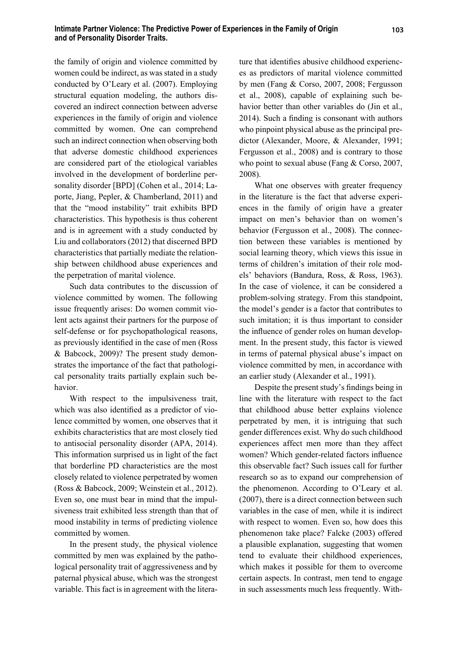the family of origin and violence committed by women could be indirect, as was stated in a study conducted by O'Leary et al. (2007). Employing structural equation modeling, the authors discovered an indirect connection between adverse experiences in the family of origin and violence committed by women. One can comprehend such an indirect connection when observing both that adverse domestic childhood experiences are considered part of the etiological variables involved in the development of borderline personality disorder [BPD] (Cohen et al., 2014; Laporte, Jiang, Pepler, & Chamberland, 2011) and that the "mood instability" trait exhibits BPD characteristics. This hypothesis is thus coherent and is in agreement with a study conducted by Liu and collaborators (2012) that discerned BPD characteristics that partially mediate the relationship between childhood abuse experiences and the perpetration of marital violence.

Such data contributes to the discussion of violence committed by women. The following issue frequently arises: Do women commit violent acts against their partners for the purpose of self-defense or for psychopathological reasons, as previously identified in the case of men (Ross) & Babcock, 2009)? The present study demonstrates the importance of the fact that pathological personality traits partially explain such behavior.

With respect to the impulsiveness trait, which was also identified as a predictor of violence committed by women, one observes that it exhibits characteristics that are most closely tied to antisocial personality disorder (APA, 2014). This information surprised us in light of the fact that borderline PD characteristics are the most closely related to violence perpetrated by women (Ross & Babcock, 2009; Weinstein et al., 2012). Even so, one must bear in mind that the impulsiveness trait exhibited less strength than that of mood instability in terms of predicting violence committed by women.

In the present study, the physical violence committed by men was explained by the pathological personality trait of aggressiveness and by paternal physical abuse, which was the strongest variable. This fact is in agreement with the literature that identifies abusive childhood experiences as predictors of marital violence committed by men (Fang & Corso, 2007, 2008; Fergusson et al., 2008), capable of explaining such behavior better than other variables do (Jin et al.,  $2014$ ). Such a finding is consonant with authors who pinpoint physical abuse as the principal predictor (Alexander, Moore, & Alexander, 1991; Fergusson et al., 2008) and is contrary to those who point to sexual abuse (Fang & Corso, 2007, 2008).

What one observes with greater frequency in the literature is the fact that adverse experiences in the family of origin have a greater impact on men's behavior than on women's behavior (Fergusson et al., 2008). The connection between these variables is mentioned by social learning theory, which views this issue in terms of children's imitation of their role models' behaviors (Bandura, Ross, & Ross, 1963). In the case of violence, it can be considered a problem-solving strategy. From this standpoint, the model's gender is a factor that contributes to such imitation; it is thus important to consider the influence of gender roles on human development. In the present study, this factor is viewed in terms of paternal physical abuse's impact on violence committed by men, in accordance with an earlier study (Alexander et al., 1991).

Despite the present study's findings being in line with the literature with respect to the fact that childhood abuse better explains violence perpetrated by men, it is intriguing that such gender differences exist. Why do such childhood experiences affect men more than they affect women? Which gender-related factors influence this observable fact? Such issues call for further research so as to expand our comprehension of the phenomenon. According to O'Leary et al. (2007), there is a direct connection between such variables in the case of men, while it is indirect with respect to women. Even so, how does this phenomenon take place? Falcke (2003) offered a plausible explanation, suggesting that women tend to evaluate their childhood experiences, which makes it possible for them to overcome certain aspects. In contrast, men tend to engage in such assessments much less frequently. With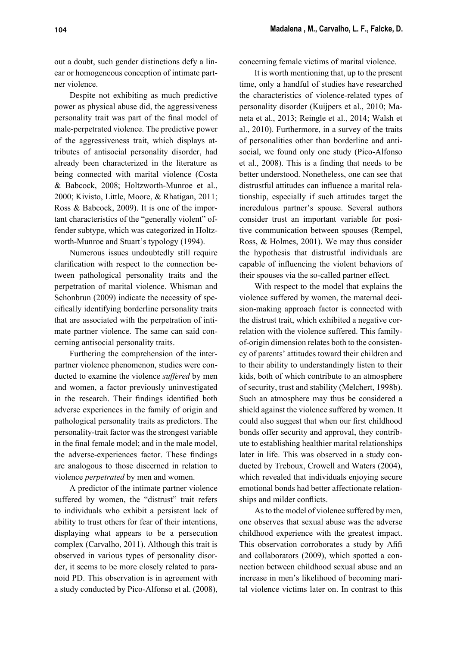out a doubt, such gender distinctions defy a linear or homogeneous conception of intimate partner violence.

Despite not exhibiting as much predictive power as physical abuse did, the aggressiveness personality trait was part of the final model of male-perpetrated violence. The predictive power of the aggressiveness trait, which displays attributes of antisocial personality disorder, had already been characterized in the literature as being connected with marital violence (Costa & Babcock, 2008; Holtzworth-Munroe et al., 2000; Kivisto, Little, Moore, & Rhatigan, 2011; Ross & Babcock, 2009). It is one of the important characteristics of the "generally violent" offender subtype, which was categorized in Holtzworth-Munroe and Stuart's typology (1994).

Numerous issues undoubtedly still require clarification with respect to the connection between pathological personality traits and the perpetration of marital violence. Whisman and Schonbrun (2009) indicate the necessity of specifically identifying borderline personality traits that are associated with the perpetration of intimate partner violence. The same can said concerning antisocial personality traits.

Furthering the comprehension of the interpartner violence phenomenon, studies were conducted to examine the violence *suffered* by men and women, a factor previously uninvestigated in the research. Their findings identified both adverse experiences in the family of origin and pathological personality traits as predictors. The personality-trait factor was the strongest variable in the final female model; and in the male model, the adverse-experiences factor. These findings are analogous to those discerned in relation to violence *perpetrated* by men and women.

A predictor of the intimate partner violence suffered by women, the "distrust" trait refers to individuals who exhibit a persistent lack of ability to trust others for fear of their intentions, displaying what appears to be a persecution complex (Carvalho, 2011). Although this trait is observed in various types of personality disorder, it seems to be more closely related to paranoid PD. This observation is in agreement with a study conducted by Pico-Alfonso et al. (2008),

concerning female victims of marital violence.

It is worth mentioning that, up to the present time, only a handful of studies have researched the characteristics of violence-related types of personality disorder (Kuijpers et al., 2010; Maneta et al., 2013; Reingle et al., 2014; Walsh et al., 2010). Furthermore, in a survey of the traits of personalities other than borderline and antisocial, we found only one study (Pico-Alfonso et al., 2008). This is a finding that needs to be better understood. Nonetheless, one can see that distrustful attitudes can influence a marital relationship, especially if such attitudes target the incredulous partner's spouse. Several authors consider trust an important variable for positive communication between spouses (Rempel, Ross, & Holmes, 2001). We may thus consider the hypothesis that distrustful individuals are capable of influencing the violent behaviors of their spouses via the so-called partner effect.

With respect to the model that explains the violence suffered by women, the maternal decision-making approach factor is connected with the distrust trait, which exhibited a negative correlation with the violence suffered. This familyof-origin dimension relates both to the consistency of parents' attitudes toward their children and to their ability to understandingly listen to their kids, both of which contribute to an atmosphere of security, trust and stability (Melchert, 1998b). Such an atmosphere may thus be considered a shield against the violence suffered by women. It could also suggest that when our first childhood bonds offer security and approval, they contribute to establishing healthier marital relationships later in life. This was observed in a study conducted by Treboux, Crowell and Waters (2004), which revealed that individuals enjoying secure emotional bonds had better affectionate relationships and milder conflicts.

As to the model of violence suffered by men, one observes that sexual abuse was the adverse childhood experience with the greatest impact. This observation corroborates a study by Afifi and collaborators (2009), which spotted a connection between childhood sexual abuse and an increase in men's likelihood of becoming marital violence victims later on. In contrast to this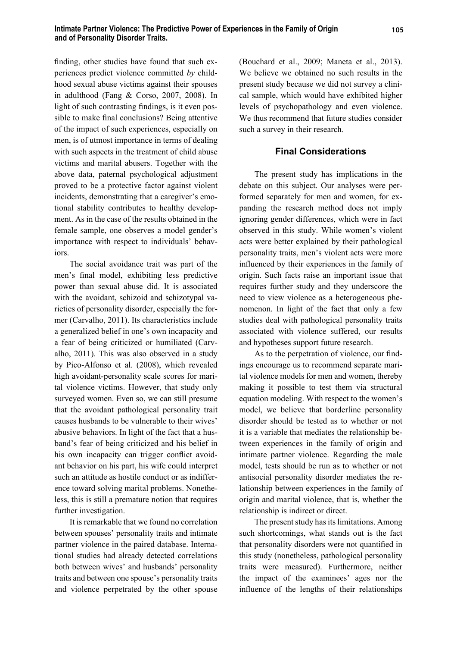finding, other studies have found that such experiences predict violence committed *by* childhood sexual abuse victims against their spouses in adulthood (Fang & Corso, 2007, 2008). In light of such contrasting findings, is it even possible to make final conclusions? Being attentive of the impact of such experiences, especially on men, is of utmost importance in terms of dealing with such aspects in the treatment of child abuse victims and marital abusers. Together with the above data, paternal psychological adjustment proved to be a protective factor against violent incidents, demonstrating that a caregiver's emotional stability contributes to healthy development. As in the case of the results obtained in the female sample, one observes a model gender's importance with respect to individuals' behaviors.

The social avoidance trait was part of the men's final model, exhibiting less predictive power than sexual abuse did. It is associated with the avoidant, schizoid and schizotypal varieties of personality disorder, especially the former (Carvalho, 2011). Its characteristics include a generalized belief in one's own incapacity and a fear of being criticized or humiliated (Carvalho, 2011). This was also observed in a study by Pico-Alfonso et al. (2008), which revealed high avoidant-personality scale scores for marital violence victims. However, that study only surveyed women. Even so, we can still presume that the avoidant pathological personality trait causes husbands to be vulnerable to their wives' abusive behaviors. In light of the fact that a husband's fear of being criticized and his belief in his own incapacity can trigger conflict avoidant behavior on his part, his wife could interpret such an attitude as hostile conduct or as indifference toward solving marital problems. Nonetheless, this is still a premature notion that requires further investigation.

It is remarkable that we found no correlation between spouses' personality traits and intimate partner violence in the paired database. International studies had already detected correlations both between wives' and husbands' personality traits and between one spouse's personality traits and violence perpetrated by the other spouse

(Bouchard et al., 2009; Maneta et al., 2013). We believe we obtained no such results in the present study because we did not survey a clinical sample, which would have exhibited higher levels of psychopathology and even violence. We thus recommend that future studies consider such a survey in their research.

## **Final Considerations**

The present study has implications in the debate on this subject. Our analyses were performed separately for men and women, for expanding the research method does not imply ignoring gender differences, which were in fact observed in this study. While women's violent acts were better explained by their pathological personality traits, men's violent acts were more influenced by their experiences in the family of origin. Such facts raise an important issue that requires further study and they underscore the need to view violence as a heterogeneous phenomenon. In light of the fact that only a few studies deal with pathological personality traits associated with violence suffered, our results and hypotheses support future research.

As to the perpetration of violence, our findings encourage us to recommend separate marital violence models for men and women, thereby making it possible to test them via structural equation modeling. With respect to the women's model, we believe that borderline personality disorder should be tested as to whether or not it is a variable that mediates the relationship between experiences in the family of origin and intimate partner violence. Regarding the male model, tests should be run as to whether or not antisocial personality disorder mediates the relationship between experiences in the family of origin and marital violence, that is, whether the relationship is indirect or direct.

The present study has its limitations. Among such shortcomings, what stands out is the fact that personality disorders were not quantified in this study (nonetheless, pathological personality traits were measured). Furthermore, neither the impact of the examinees' ages nor the influence of the lengths of their relationships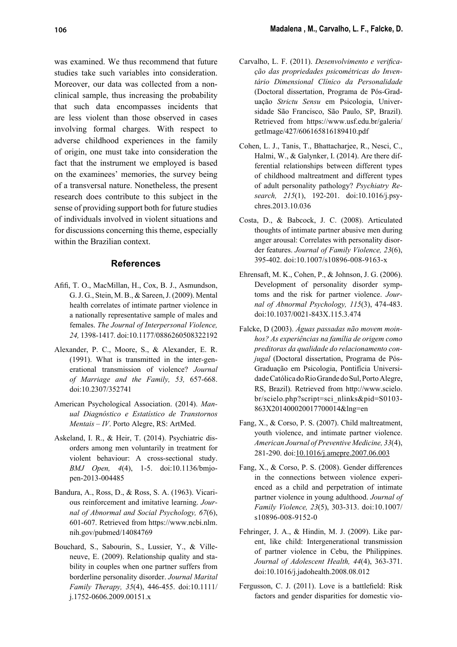was examined. We thus recommend that future studies take such variables into consideration. Moreover, our data was collected from a nonclinical sample, thus increasing the probability that such data encompasses incidents that are less violent than those observed in cases involving formal charges. With respect to adverse childhood experiences in the family of origin, one must take into consideration the fact that the instrument we employed is based on the examinees' memories, the survey being of a transversal nature. Nonetheless, the present research does contribute to this subject in the sense of providing support both for future studies of individuals involved in violent situations and for discussions concerning this theme, especially within the Brazilian context.

## **References**

- Afifi, T. O., MacMillan, H., Cox, B. J., Asmundson, G. J. G., Stein, M. B., & Sareen, J. (2009). Mental health correlates of intimate partner violence in a nationally representative sample of males and females. *The Journal of Interpersonal Violence, 24,* 1398-1417*.* doi:10.1177/0886260508322192
- Alexander, P. C., Moore, S., & Alexander, E. R. (1991). What is transmitted in the inter-generational transmission of violence? *Journal of Marriage and the Family, 53,* 657-668. doi:10.2307/352741
- American Psychological Association. (2014). *Manual Diagnóstico e Estatístico de Transtornos Mentais – IV*. Porto Alegre, RS: ArtMed.
- Askeland, I. R., & Heir, T. (2014). Psychiatric disorders among men voluntarily in treatment for violent behaviour: A cross-sectional study. *BMJ Open, 4*(4), 1-5. doi:10.1136/bmjopen-2013-004485
- Bandura, A., Ross, D., & Ross, S. A. (1963). Vicarious reinforcement and imitative learning. *Journal of Abnormal and Social Psychology, 67*(6), 601-607. Retrieved from https://www.ncbi.nlm. nih.gov/pubmed/14084769
- Bouchard, S., Sabourin, S., Lussier, Y., & Villeneuve, E. (2009). Relationship quality and stability in couples when one partner suffers from borderline personality disorder. *Journal Marital Family Therapy, 35*(4), 446-455. doi:10.1111/ j.1752-0606.2009.00151.x
- Carvalho, L. F. (2011). *Desenvolvimento e verificação das propriedades psic*o*métricas do Inventário Dimensional Clínico da Personalidade* (Doctoral dissertation, Programa de Pós-Graduação *Strictu Sensu* em Psicologia, Universidade São Francisco, São Paulo, SP, Brazil). Retrieved from https://www.usf.edu.br/galeria/ getImage/427/606165816189410.pdf
- Cohen, L. J., Tanis, T., Bhattacharjee, R., Nesci, C., Halmi, W., & Galynker, I. (2014). Are there differential relationships between different types of childhood maltreatment and different types of adult personality pathology? *Psychiatry Research, 215*(1), 192-201. doi:10.1016/j.psychres.2013.10.036
- Costa, D., & Babcock, J. C. (2008). Articulated thoughts of intimate partner abusive men during anger arousal: Correlates with personality disorder features. *Journal of Family Violence, 23*(6), 395-402. doi:10.1007/s10896-008-9163-x
- Ehrensaft, M. K., Cohen, P., & Johnson, J. G. (2006). Development of personality disorder symptoms and the risk for partner violence. *Journal of Abnormal Psychology, 115*(3), 474-483. doi:10.1037/0021-843X.115.3.474
- Falcke, D (2003). *Águas passadas não movem moinhos? As experiências na família de origem como preditoras da qualidade do relacionamento conjugal* (Doctoral dissertation, Programa de Pós-Graduação em Psicologia, Pontifícia Universidade Católica do Rio Grande do Sul, Porto Alegre, RS, Brazil). Retrieved from http://www.scielo. br/scielo.php?script=sci\_nlinks&pid=S0103- 863X201400020017700014&lng=en
- Fang, X., & Corso, P. S. (2007). Child maltreatment, youth violence, and intimate partner violence. *American Journal of Preventive Medicine, 33*(4), 281-290. doi:10.1016/j.amepre.2007.06.003
- Fang, X., & Corso, P. S. (2008). Gender differences in the connections between violence experienced as a child and perpetration of intimate partner violence in young adulthood. *Journal of Family Violence, 23*(5), 303-313. doi:10.1007/ s10896-008-9152-0
- Fehringer, J. A., & Hindin, M. J. (2009). Like parent, like child: Intergenerational transmission of partner violence in Cebu, the Philippines. *Journal of Adolescent Health, 44*(4), 363-371. doi:10.1016/j.jadohealth.2008.08.012
- Fergusson, C. J. (2011). Love is a battlefield: Risk factors and gender disparities for domestic vio-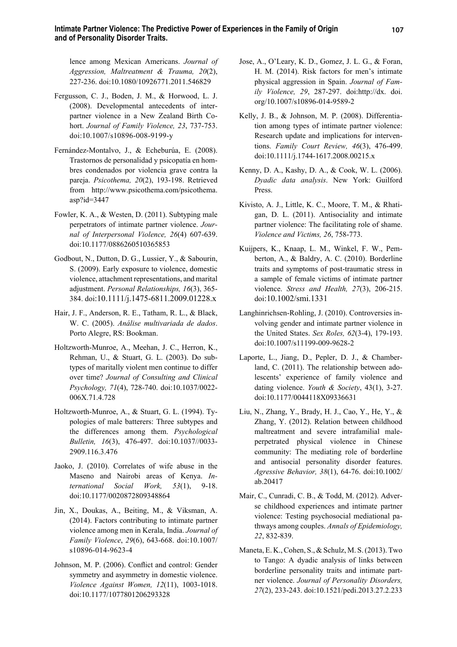lence among Mexican Americans. *Journal of Aggression, Maltreatment & Trauma, 20*(2), 227-236. doi:10.1080/10926771.2011.546829

- Fergusson, C. J., Boden, J. M., & Horwood, L. J. (2008). Developmental antecedents of interpartner violence in a New Zealand Birth Cohort. *Journal of Family Violence, 23*, 737-753. doi:10.1007/s10896-008-9199-y
- Fernández-Montalvo, J., & Echeburúa, E. (2008). Trastornos de personalidad y psicopatía en hombres condenados por violencia grave contra la pareja. *Psicothema, 20*(2), 193-198. Retrieved from http://www.psicothema.com/psicothema. asp?id=3447
- Fowler, K. A., & Westen, D. (2011). Subtyping male perpetrators of intimate partner violence. *Journal of Interpersonal Violence, 26*(4) 607-639. doi:10.1177/0886260510365853
- Godbout, N., Dutton, D. G., Lussier, Y., & Sabourin, S. (2009). Early exposure to violence, domestic violence, attachment representations, and marital adjustment. *Personal Relationships, 16*(3), 365- 384. doi:10.1111/j.1475-6811.2009.01228.x
- Hair, J. F., Anderson, R. E., Tatham, R. L., & Black, W. C. (2005). *Análise multivariada de dados*. Porto Alegre, RS: Bookman.
- Holtzworth-Munroe, A., Meehan, J. C., Herron, K., Rehman, U., & Stuart, G. L. (2003). Do subtypes of maritally violent men continue to differ over time? *Journal of Consulting and Clinical Psychology, 71*(4), 728-740. doi:10.1037/0022- 006X.71.4.728
- Holtzworth-Munroe, A., & Stuart, G. L. (1994). Typologies of male batterers: Three subtypes and the differences among them. *Psychological Bulletin, 16*(3), 476-497. doi:10.1037//0033- 2909.116.3.476
- Jaoko, J. (2010). Correlates of wife abuse in the Maseno and Nairobi areas of Kenya. *International Social Work, 53*(1), 9-18. doi:10.1177/0020872809348864
- Jin, X., Doukas, A., Beiting, M., & Viksman, A. (2014). Factors contributing to intimate partner violence among men in Kerala, India. *Journal of Family Violence*, *29*(6), 643-668. doi:10.1007/ s10896-014-9623-4
- Johnson, M. P. (2006). Conflict and control: Gender symmetry and asymmetry in domestic violence. *Violence Against Women, 12*(11), 1003-1018. doi:10.1177/1077801206293328
- Jose, A., O'Leary, K. D., Gomez, J. L. G., & Foran, H. M. (2014). Risk factors for men's intimate physical aggression in Spain. *Journal of Family Violence, 29*, 287-297. doi:http://dx. doi. org/10.1007/s10896-014-9589-2
- Kelly, J. B., & Johnson, M. P. (2008). Differentiation among types of intimate partner violence: Research update and implications for interventions. *Family Court Review, 46*(3), 476-499. doi:10.1111/j.1744-1617.2008.00215.x
- Kenny, D. A., Kashy, D. A., & Cook, W. L. (2006). *Dyadic data analysis*. New York: Guilford Press.
- Kivisto, A. J., Little, K. C., Moore, T. M., & Rhatigan, D. L. (2011). Antisociality and intimate partner violence: The facilitating role of shame. *Violence and Victims, 26*, 758-773.
- Kuijpers, K., Knaap, L. M., Winkel, F. W., Pemberton, A., & Baldry, A. C. (2010). Borderline traits and symptoms of post-traumatic stress in a sample of female victims of intimate partner violence. *Stress and Health, 27*(3), 206-215. doi:10.1002/smi.1331
- Langhinrichsen-Rohling, J. (2010). Controversies involving gender and intimate partner violence in the United States. *Sex Roles, 62*(3-4), 179-193. doi:10.1007/s11199-009-9628-2
- Laporte, L., Jiang, D., Pepler, D. J., & Chamberland, C. (2011). The relationship between adolescents' experience of family violence and dating violence. *Youth & Society*, 43(1), 3-27. doi:10.1177/0044118X09336631
- Liu, N., Zhang, Y., Brady, H. J., Cao, Y., He, Y., & Zhang, Y. (2012). Relation between childhood maltreatment and severe intrafamilial maleperpetrated physical violence in Chinese community: The mediating role of borderline and antisocial personality disorder features. *Agressive Behavior, 38*(1), 64-76. doi:10.1002/ ab.20417
- Mair, C., Cunradi, C. B., & Todd, M. (2012). Adverse childhood experiences and intimate partner violence: Testing psychosocial mediational pathways among couples. *Annals of Epidemiology, 22*, 832-839.
- Maneta, E. K., Cohen, S., & Schulz, M. S. (2013). Two to Tango: A dyadic analysis of links between borderline personality traits and intimate partner violence. *Journal of Personality Disorders, 27*(2), 233-243. doi:10.1521/pedi.2013.27.2.233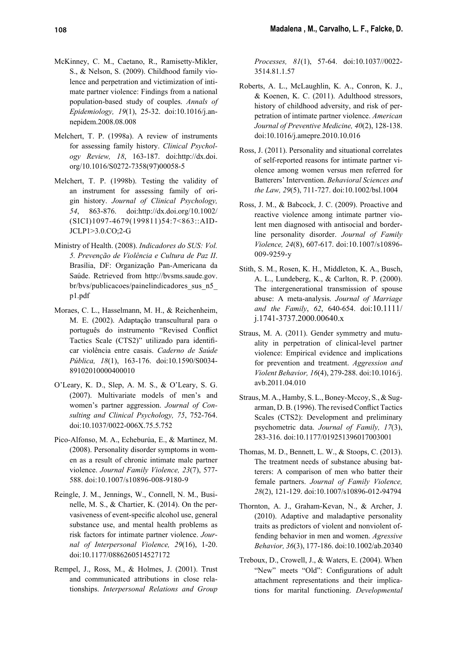- McKinney, C. M., Caetano, R., Ramisetty-Mikler, S., & Nelson, S. (2009). Childhood family violence and perpetration and victimization of intimate partner violence: Findings from a national population-based study of couples. *Annals of Epidemiology, 19*(1), 25-32. doi:10.1016/j.annepidem.2008.08.008
- Melchert, T. P. (1998a). A review of instruments for assessing family history. *Clinical Psychology Review, 18*, 163-187. doi:http://dx.doi. org/10.1016/S0272-7358(97)00058-5
- Melchert, T. P. (1998b). Testing the validity of an instrument for assessing family of origin history. *Journal of Clinical Psychology, 54*, 863-876. doi:http://dx.doi.org/10.1002/ (SICI)1097-4679(199811)54:7<863::AID-JCLP1>3.0.CO;2-G
- Ministry of Health. (2008). *Indicadores do SUS: Vol. 5. Prevenção de Violência e Cultura de Paz II*. Brasília, DF: Organização Pan-Americana da Saúde. Retrieved from http://bvsms.saude.gov. br/bvs/publicacoes/painelindicadores\_sus\_n5\_ p1.pdf
- Moraes, C. L., Hasselmann, M. H., & Reichenheim, M. E. (2002). Adaptação transcultural para o português do instrumento "Revised Conflict Tactics Scale (CTS2)" utilizado para identificar violência entre casais. *Caderno de Saúde Pública, 18*(1), 163-176. doi:10.1590/S0034- 89102010000400010
- O'Leary, K. D., Slep, A. M. S., & O'Leary, S. G. (2007). Multivariate models of men's and women's partner aggression. *Journal of Consulting and Clinical Psychology, 75*, 752-764. doi:10.1037/0022-006X.75.5.752
- Pico-Alfonso, M. A., Echeburúa, E., & Martinez, M. (2008). Personality disorder symptoms in women as a result of chronic intimate male partner violence. *Journal Family Violence, 23*(7), 577- 588. doi:10.1007/s10896-008-9180-9
- Reingle, J. M., Jennings, W., Connell, N. M., Businelle, M. S., & Chartier, K. (2014). On the pervasiveness of event-specific alcohol use, general substance use, and mental health problems as risk factors for intimate partner violence. *Journal of Interpersonal Violence, 29*(16), 1-20. doi:10.1177/0886260514527172
- Rempel, J., Ross, M., & Holmes, J. (2001). Trust and communicated attributions in close relationships. *Interpersonal Relations and Group*

*Processes, 81*(1), 57-64. doi:10.1037//0022- 3514.81.1.57

- Roberts, A. L., McLaughlin, K. A., Conron, K. J., & Koenen, K. C. (2011). Adulthood stressors, history of childhood adversity, and risk of perpetration of intimate partner violence. *American Journal of Preventive Medicine, 40*(2), 128-138. doi:10.1016/j.amepre.2010.10.016
- Ross, J. (2011). Personality and situational correlates of self-reported reasons for intimate partner violence among women versus men referred for Batterers' Intervention. *Behavioral Sciences and the Law, 29*(5), 711-727. doi:10.1002/bsl.1004
- Ross, J. M., & Babcock, J. C. (2009). Proactive and reactive violence among intimate partner violent men diagnosed with antisocial and borderline personality disorder. *Journal of Family Violence, 24*(8), 607-617. doi:10.1007/s10896- 009-9259-y
- Stith, S. M., Rosen, K. H., Middleton, K. A., Busch, A. L., Lundeberg, K., & Carlton, R. P. (2000). The intergenerational transmission of spouse abuse: A meta-analysis. *Journal of Marriage and the Family*, *62*, 640-654. doi:10.1111/ j.1741-3737.2000.00640.x
- Straus, M. A. (2011). Gender symmetry and mutuality in perpetration of clinical-level partner violence: Empirical evidence and implications for prevention and treatment. *Aggression and Violent Behavior, 16*(4), 279-288. doi:10.1016/j. avb.2011.04.010
- Straus, M. A., Hamby, S. L., Boney-Mccoy, S., & Sugarman, D. B. (1996). The revised Conflict Tactics Scales (CTS2): Development and preliminary psychometric data. *Journal of Family, 17*(3), 283-316. doi:10.1177/019251396017003001
- Thomas, M. D., Bennett, L. W., & Stoops, C. (2013). The treatment needs of substance abusing batterers: A comparison of men who batter their female partners. *Journal of Family Violence, 28*(2), 121-129. doi:10.1007/s10896-012-94794
- Thornton, A. J., Graham-Kevan, N., & Archer, J. (2010). Adaptive and maladaptive personality traits as predictors of violent and nonviolent offending behavior in men and women. *Agressive Behavior, 36*(3), 177-186. doi:10.1002/ab.20340
- Treboux, D., Crowell, J., & Waters, E. (2004). When "New" meets "Old": Configurations of adult attachment representations and their implications for marital functioning. *Developmental*